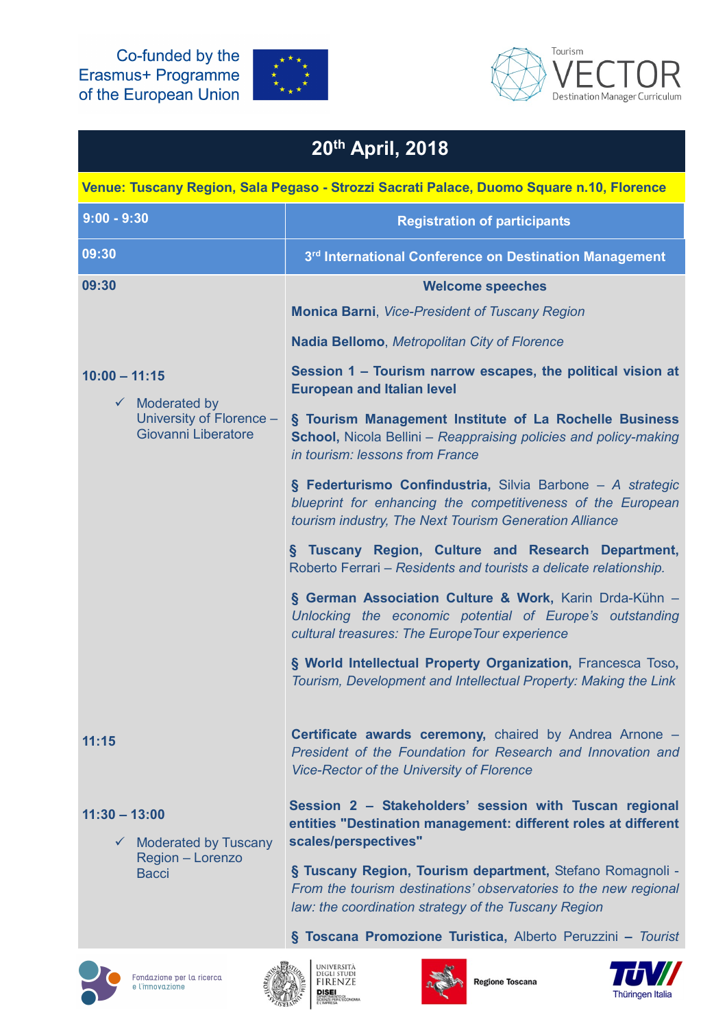Co-funded by the Erasmus+ Programme of the European Union





## 20th April, 2018

| Venue: Tuscany Region, Sala Pegaso - Strozzi Sacrati Palace, Duomo Square n.10, Florence        |                                                                                                                                                                                       |
|-------------------------------------------------------------------------------------------------|---------------------------------------------------------------------------------------------------------------------------------------------------------------------------------------|
| $9:00 - 9:30$                                                                                   | <b>Registration of participants</b>                                                                                                                                                   |
| 09:30                                                                                           | 3rd International Conference on Destination Management                                                                                                                                |
| 09:30                                                                                           | <b>Welcome speeches</b>                                                                                                                                                               |
|                                                                                                 | <b>Monica Barni, Vice-President of Tuscany Region</b>                                                                                                                                 |
| $10:00 - 11:15$<br>$\checkmark$ Moderated by<br>University of Florence -<br>Giovanni Liberatore | Nadia Bellomo, Metropolitan City of Florence                                                                                                                                          |
|                                                                                                 | Session 1 - Tourism narrow escapes, the political vision at<br><b>European and Italian level</b>                                                                                      |
|                                                                                                 | § Tourism Management Institute of La Rochelle Business<br><b>School, Nicola Bellini - Reappraising policies and policy-making</b><br>in tourism: lessons from France                  |
|                                                                                                 | § Federturismo Confindustria, Silvia Barbone - A strategic<br>blueprint for enhancing the competitiveness of the European<br>tourism industry, The Next Tourism Generation Alliance   |
|                                                                                                 | Tuscany Region, Culture and Research Department,<br>δ.<br>Roberto Ferrari – Residents and tourists a delicate relationship.                                                           |
|                                                                                                 | § German Association Culture & Work, Karin Drda-Kühn -<br>Unlocking the economic potential of Europe's outstanding<br>cultural treasures: The Europe Tour experience                  |
|                                                                                                 | § World Intellectual Property Organization, Francesca Toso,<br>Tourism, Development and Intellectual Property: Making the Link                                                        |
| 11:15                                                                                           | Certificate awards ceremony, chaired by Andrea Arnone -<br>President of the Foundation for Research and Innovation and<br><b>Vice-Rector of the University of Florence</b>            |
| $11:30 - 13:00$<br>$\checkmark$ Moderated by Tuscany<br>Region - Lorenzo<br><b>Bacci</b>        | Session 2 - Stakeholders' session with Tuscan regional<br>entities "Destination management: different roles at different<br>scales/perspectives"                                      |
|                                                                                                 | § Tuscany Region, Tourism department, Stefano Romagnoli -<br>From the tourism destinations' observatories to the new regional<br>law: the coordination strategy of the Tuscany Region |
|                                                                                                 | § Toscana Promozione Turistica, Alberto Peruzzini - Tourist                                                                                                                           |







**Regione Toscana**